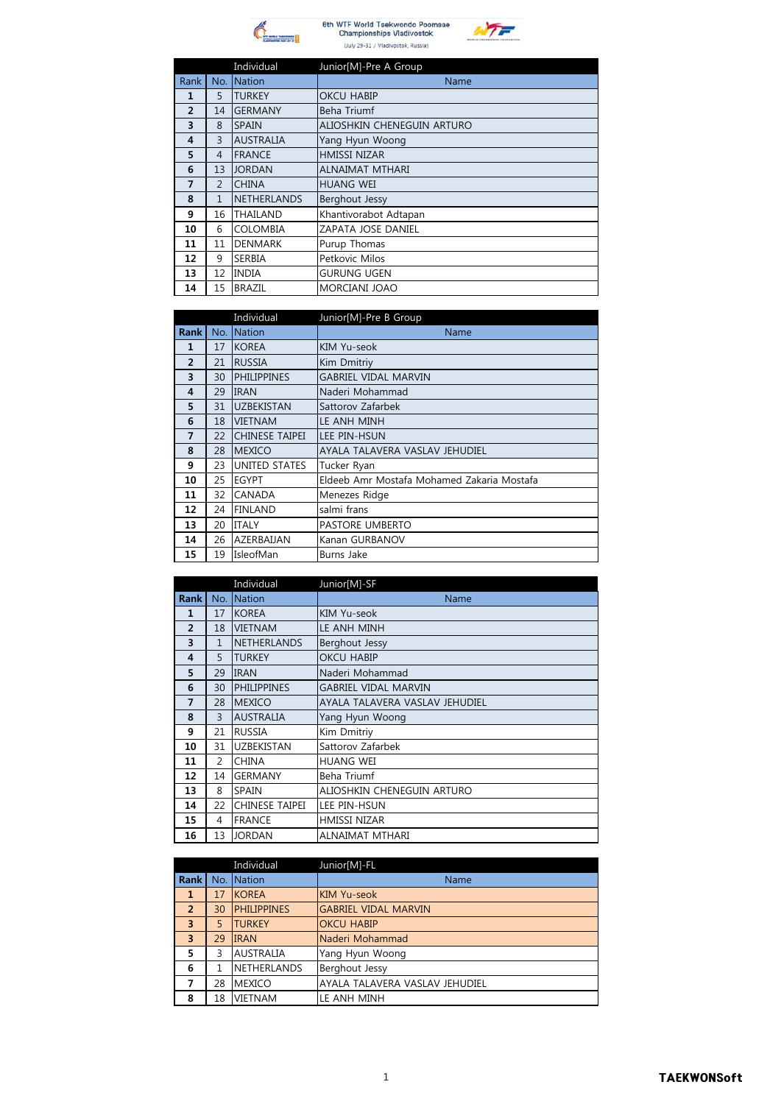



|  | 6th WTF World Taekwor<br><b>Championships Vlad</b> |  |
|--|----------------------------------------------------|--|
|  | (July 29-31 / Vladivostok                          |  |

 $\epsilon$ 

|                |                | Individual         | Junior[M]-Pre A Group      |
|----------------|----------------|--------------------|----------------------------|
| Rank           | No.            | <b>Nation</b>      | Name                       |
| 1              | 5              | <b>TURKEY</b>      | <b>OKCU HABIP</b>          |
| $\overline{2}$ | 14             | <b>GERMANY</b>     | Beha Triumf                |
| 3              | 8              | <b>SPAIN</b>       | ALIOSHKIN CHENEGUIN ARTURO |
| 4              | 3              | <b>AUSTRALIA</b>   | Yang Hyun Woong            |
| 5              | 4              | <b>FRANCE</b>      | <b>HMISSI NIZAR</b>        |
| 6              | 13             | <b>JORDAN</b>      | <b>ALNAIMAT MTHARI</b>     |
| 7              | $\overline{2}$ | <b>CHINA</b>       | <b>HUANG WEI</b>           |
| 8              | $\mathbf{1}$   | <b>NETHERLANDS</b> | Berghout Jessy             |
| 9              | 16             | THAILAND           | Khantivorabot Adtapan      |
| 10             | 6              | <b>COLOMBIA</b>    | ZAPATA JOSE DANIEL         |
| 11             | 11             | <b>DENMARK</b>     | Purup Thomas               |
| 12             | 9              | <b>SERBIA</b>      | Petkovic Milos             |
| 13             | 12             | <b>INDIA</b>       | <b>GURUNG UGEN</b>         |
| 14             | 15             | <b>BRAZIL</b>      | MORCIANI JOAO              |

|                |     | Individual         | Junior[M]-Pre B Group                      |
|----------------|-----|--------------------|--------------------------------------------|
| Rank           | No. | Nation             | Name                                       |
| $\mathbf{1}$   | 17  | <b>KOREA</b>       | KIM Yu-seok                                |
| $\overline{2}$ | 21  | <b>RUSSIA</b>      | Kim Dmitriy                                |
| 3              | 30  | <b>PHILIPPINES</b> | <b>GABRIEL VIDAL MARVIN</b>                |
| $\overline{4}$ | 29  | <b>IRAN</b>        | Naderi Mohammad                            |
| 5              | 31  | <b>UZBEKISTAN</b>  | Sattorov Zafarbek                          |
| 6              | 18  | <b>VIETNAM</b>     | LE ANH MINH                                |
| 7              | 22  | CHINESE TAIPEI     | LEE PIN-HSUN                               |
| 8              | 28  | <b>MEXICO</b>      | AYALA TALAVERA VASLAV JEHUDIEL             |
| 9              | 23  | UNITED STATES      | Tucker Ryan                                |
| 10             | 25  | EGYPT              | Eldeeb Amr Mostafa Mohamed Zakaria Mostafa |
| 11             | 32  | CANADA             | Menezes Ridge                              |
| 12             | 24  | <b>FINLAND</b>     | salmi frans                                |
| 13             | 20  | <b>ITALY</b>       | PASTORE UMBERTO                            |
| 14             | 26  | AZERBAUAN          | Kanan GURBANOV                             |
| 15             | 19  | IsleofMan          | Burns Jake                                 |

|                |                | Individual            | Junior[M]-SF                   |
|----------------|----------------|-----------------------|--------------------------------|
| Rank           | No.            | <b>Nation</b>         | Name                           |
| $\mathbf{1}$   | 17             | <b>KOREA</b>          | KIM Yu-seok                    |
| $\overline{2}$ | 18             | <b>VIETNAM</b>        | LE ANH MINH                    |
| 3              | $\mathbf{1}$   | <b>NETHERLANDS</b>    | Berghout Jessy                 |
| 4              | 5              | <b>TURKEY</b>         | <b>OKCU HABIP</b>              |
| 5              | 29             | <b>IRAN</b>           | Naderi Mohammad                |
| 6              | 30             | <b>PHILIPPINES</b>    | <b>GABRIEL VIDAL MARVIN</b>    |
| 7              | 28             | <b>MEXICO</b>         | AYALA TALAVERA VASLAV JEHUDIEL |
| 8              | $\overline{3}$ | <b>AUSTRALIA</b>      | Yang Hyun Woong                |
| 9              | 21             | <b>RUSSIA</b>         | Kim Dmitriy                    |
| 10             | 31             | <b>UZBEKISTAN</b>     | Sattorov Zafarbek              |
| 11             | 2              | <b>CHINA</b>          | HUANG WEI                      |
| 12             | 14             | <b>GERMANY</b>        | Beha Triumf                    |
| 13             | 8              | <b>SPAIN</b>          | ALIOSHKIN CHENEGUIN ARTURO     |
| 14             | 22             | <b>CHINESE TAIPEI</b> | LEE PIN-HSUN                   |
| 15             | 4              | <b>FRANCE</b>         | HMISSI NIZAR                   |
| 16             | 13             | <b>JORDAN</b>         | ALNAIMAT MTHARI                |

|                         |    | Individual         | Junior[M]-FL                   |
|-------------------------|----|--------------------|--------------------------------|
| <b>Rank</b>             |    | No. Nation         | Name                           |
| $\mathbf{1}$            | 17 | <b>KOREA</b>       | KIM Yu-seok                    |
| $\overline{2}$          | 30 | <b>PHILIPPINES</b> | <b>GABRIEL VIDAL MARVIN</b>    |
| $\overline{\mathbf{3}}$ | 5  | <b>TURKEY</b>      | <b>OKCU HABIP</b>              |
| $\overline{3}$          | 29 | <b>IRAN</b>        | Naderi Mohammad                |
| 5                       | ς  | <b>AUSTRALIA</b>   | Yang Hyun Woong                |
| 6                       |    | <b>NETHERLANDS</b> | Berghout Jessy                 |
| 7                       | 28 | <b>MEXICO</b>      | AYALA TALAVERA VASLAV JEHUDIEL |
| 8                       | 18 | <b>VIETNAM</b>     | LE ANH MINH                    |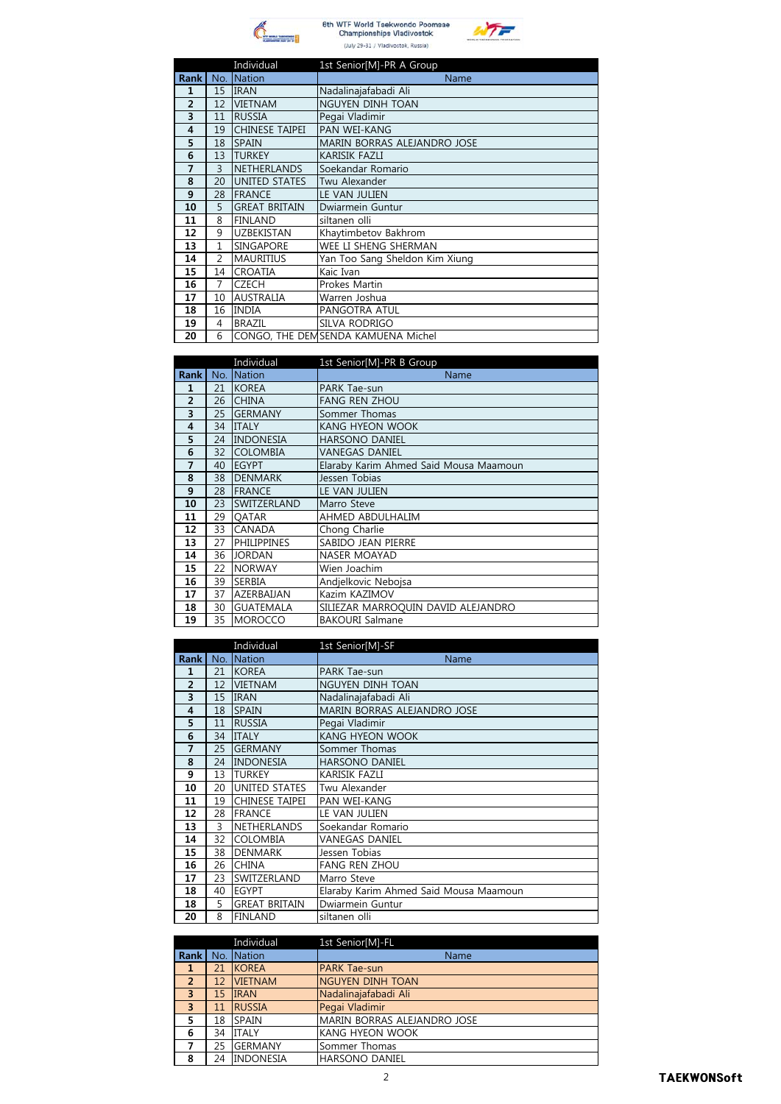



|                |                | Individual            | 1st Senior[M]-PR A Group           |
|----------------|----------------|-----------------------|------------------------------------|
| <b>Rank</b>    | No.            | Nation                | Name                               |
| 1              | 15             | <b>IRAN</b>           | Nadalinajafabadi Ali               |
| $\overline{2}$ | 12             | <b>VIETNAM</b>        | NGUYEN DINH TOAN                   |
| 3              | 11             | <b>RUSSIA</b>         | Pegai Vladimir                     |
| 4              | 19             | <b>CHINESE TAIPEI</b> | PAN WEI-KANG                       |
| 5              | 18             | <b>SPAIN</b>          | <b>MARIN BORRAS ALEJANDRO JOSE</b> |
| 6              | 13             | <b>TURKEY</b>         | <b>KARISIK FAZLI</b>               |
| 7              | 3              | <b>NETHERLANDS</b>    | Soekandar Romario                  |
| 8              | 20             | <b>UNITED STATES</b>  | Twu Alexander                      |
| 9              | 28             | <b>FRANCE</b>         | LE VAN JULIEN                      |
| 10             | 5              | <b>GREAT BRITAIN</b>  | Dwiarmein Guntur                   |
| 11             | 8              | <b>FINLAND</b>        | siltanen olli                      |
| 12             | 9              | <b>UZBEKISTAN</b>     | Khaytimbetov Bakhrom               |
| 13             | $\mathbf{1}$   | <b>SINGAPORE</b>      | WEE LI SHENG SHERMAN               |
| 14             | $\overline{2}$ | <b>MAURITIUS</b>      | Yan Too Sang Sheldon Kim Xiung     |
| 15             | 14             | <b>CROATIA</b>        | Kaic Ivan                          |
| 16             | 7              | <b>CZECH</b>          | Prokes Martin                      |
| 17             | 10             | <b>AUSTRALIA</b>      | Warren Joshua                      |
| 18             | 16             | <b>INDIA</b>          | PANGOTRA ATUL                      |
| 19             | 4              | <b>BRAZIL</b>         | SILVA RODRIGO                      |
| 20             | 6              |                       | CONGO, THE DEMSENDA KAMUENA Michel |

|                |     | Individual         | 1st Senior[M]-PR B Group               |
|----------------|-----|--------------------|----------------------------------------|
| <b>Rank</b>    | No. | <b>Nation</b>      | Name                                   |
| 1              | 21  | <b>KOREA</b>       | PARK Tae-sun                           |
| $\overline{2}$ | 26  | <b>CHINA</b>       | <b>FANG REN ZHOU</b>                   |
| 3              | 25  | <b>GERMANY</b>     | Sommer Thomas                          |
| 4              | 34  | <b>ITALY</b>       | <b>KANG HYEON WOOK</b>                 |
| 5              | 24  | <b>INDONESIA</b>   | <b>HARSONO DANIEL</b>                  |
| 6              | 32  | <b>COLOMBIA</b>    | VANEGAS DANIEL                         |
| 7              | 40  | <b>EGYPT</b>       | Elaraby Karim Ahmed Said Mousa Maamoun |
| 8              | 38  | <b>DENMARK</b>     | Jessen Tobias                          |
| 9              | 28  | <b>FRANCE</b>      | LE VAN JULIEN                          |
| 10             | 23  | SWITZERLAND        | Marro Steve                            |
| 11             | 29  | <b>OATAR</b>       | AHMED ABDULHALIM                       |
| 12             | 33  | CANADA             | Chong Charlie                          |
| 13             | 27  | <b>PHILIPPINES</b> | SABIDO JEAN PIERRE                     |
| 14             | 36  | <b>JORDAN</b>      | <b>NASER MOAYAD</b>                    |
| 15             | 22  | <b>NORWAY</b>      | Wien Joachim                           |
| 16             | 39  | <b>SERBIA</b>      | Andjelkovic Nebojsa                    |
| 17             | 37  | AZERBAIJAN         | Kazim KAZIMOV                          |
| 18             | 30  | <b>GUATEMALA</b>   | SILIEZAR MARROQUIN DAVID ALEJANDRO     |
| 19             | 35  | <b>MOROCCO</b>     | <b>BAKOURI Salmane</b>                 |

|                |     | Individual            | 1st Senior[M]-SF                       |
|----------------|-----|-----------------------|----------------------------------------|
| <b>Rank</b>    | No. | Nation                | Name                                   |
| 1              | 21  | <b>KOREA</b>          | <b>PARK Tae-sun</b>                    |
| $\overline{2}$ | 12  | <b>VIETNAM</b>        | NGUYEN DINH TOAN                       |
| 3              | 15  | <b>IRAN</b>           | Nadalinajafabadi Ali                   |
| 4              | 18  | <b>SPAIN</b>          | <b>MARIN BORRAS ALEJANDRO JOSE</b>     |
| 5              | 11  | <b>RUSSIA</b>         | Pegai Vladimir                         |
| 6              | 34  | <b>ITALY</b>          | <b>KANG HYEON WOOK</b>                 |
| 7              | 25  | <b>GERMANY</b>        | Sommer Thomas                          |
| 8              | 24  | <b>INDONESIA</b>      | <b>HARSONO DANIEL</b>                  |
| 9              | 13  | <b>TURKEY</b>         | <b>KARISIK FAZLI</b>                   |
| 10             | 20  | <b>UNITED STATES</b>  | Twu Alexander                          |
| 11             | 19  | <b>CHINESE TAIPEI</b> | PAN WEI-KANG                           |
| 12             | 28  | <b>FRANCE</b>         | LE VAN JULIEN                          |
| 13             | 3   | NETHERLANDS           | Soekandar Romario                      |
| 14             | 32  | <b>COLOMBIA</b>       | VANEGAS DANIEL                         |
| 15             | 38  | <b>DENMARK</b>        | Jessen Tobias                          |
| 16             | 26  | <b>CHINA</b>          | <b>FANG REN ZHOU</b>                   |
| 17             | 23  | SWITZERLAND           | Marro Steve                            |
| 18             | 40  | <b>EGYPT</b>          | Elaraby Karim Ahmed Said Mousa Maamoun |
| 18             | 5   | <b>GREAT BRITAIN</b>  | Dwiarmein Guntur                       |
| 20             | 8   | <b>FINLAND</b>        | siltanen olli                          |

|                         |    | Individual       | 1st Senior[M]-FL                   |
|-------------------------|----|------------------|------------------------------------|
| Rank <sup>1</sup>       |    | No. Nation       | Name                               |
| 1                       | 21 | <b>KOREA</b>     | <b>PARK Tae-sun</b>                |
| $\overline{2}$          | 12 | <b>VIETNAM</b>   | NGUYEN DINH TOAN                   |
| $\overline{3}$          | 15 | <b>IRAN</b>      | Nadalinajafabadi Ali               |
| $\overline{\mathbf{3}}$ | 11 | <b>RUSSIA</b>    | Pegai Vladimir                     |
| 5                       | 18 | <b>SPAIN</b>     | <b>MARIN BORRAS ALEJANDRO JOSE</b> |
| 6                       | 34 | <b>ITALY</b>     | KANG HYEON WOOK                    |
|                         | 25 | <b>GERMANY</b>   | Sommer Thomas                      |
| 8                       | 24 | <b>INDONESIA</b> | <b>HARSONO DANIEL</b>              |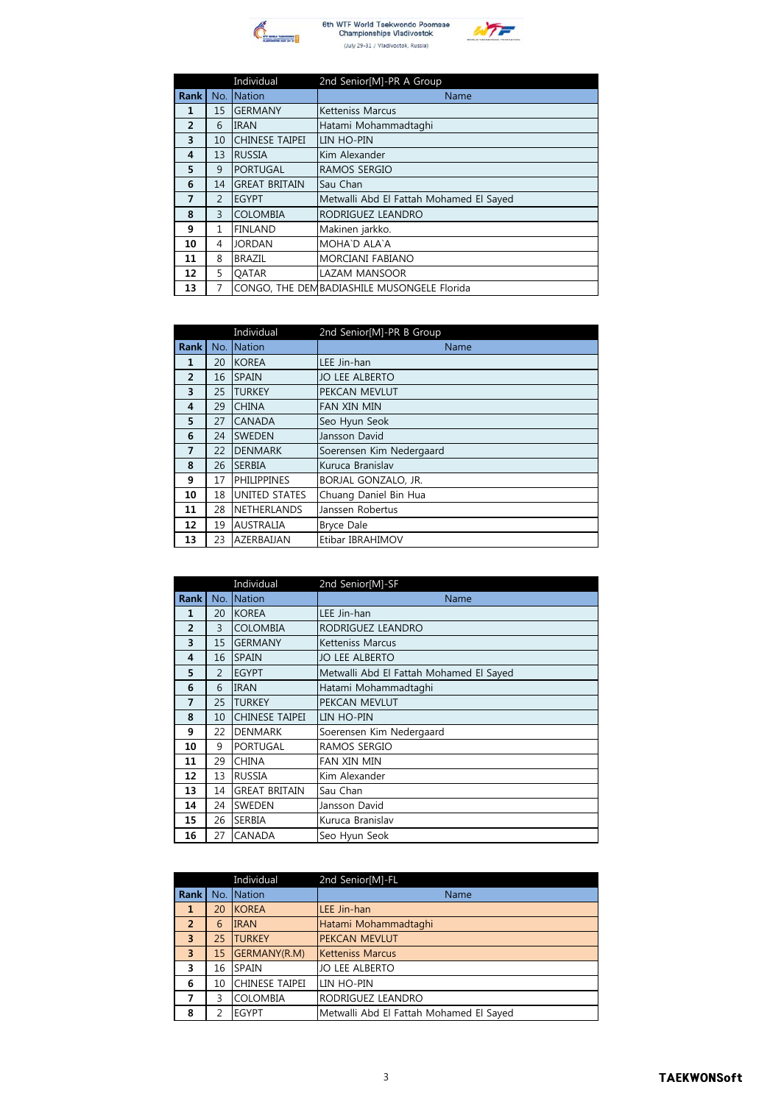



|                |                | Individual            | 2nd Senior[M]-PR A Group                    |
|----------------|----------------|-----------------------|---------------------------------------------|
| <b>Rank</b>    | No.            | <b>Nation</b>         | Name                                        |
| $\mathbf{1}$   | 15             | <b>GERMANY</b>        | <b>Ketteniss Marcus</b>                     |
| $\overline{2}$ | 6              | <b>IRAN</b>           | Hatami Mohammadtaghi                        |
| 3              | 10             | <b>CHINESE TAIPEI</b> | LIN HO-PIN                                  |
| 4              | 13             | <b>RUSSIA</b>         | Kim Alexander                               |
| 5              | 9              | <b>PORTUGAL</b>       | RAMOS SERGIO                                |
| 6              | 14             | <b>GREAT BRITAIN</b>  | Sau Chan                                    |
| 7              | $\overline{2}$ | <b>EGYPT</b>          | Metwalli Abd El Fattah Mohamed El Sayed     |
| 8              | 3              | <b>COLOMBIA</b>       | RODRIGUEZ LEANDRO                           |
| 9              | $\mathbf{1}$   | <b>FINLAND</b>        | Makinen jarkko.                             |
| 10             | 4              | <b>JORDAN</b>         | MOHA`D ALA`A                                |
| 11             | 8              | <b>BRAZIL</b>         | <b>MORCIANI FABIANO</b>                     |
| 12             | 5              | <b>OATAR</b>          | <b>LAZAM MANSOOR</b>                        |
| 13             | 7              |                       | CONGO, THE DEM BADIASHILE MUSONGELE Florida |

|                |     | Individual           | 2nd Senior[M]-PR B Group |
|----------------|-----|----------------------|--------------------------|
| <b>Rank</b>    | No. | <b>Nation</b>        | Name                     |
| 1              | 20  | <b>KOREA</b>         | LEE Jin-han              |
| $\overline{2}$ | 16  | <b>SPAIN</b>         | <b>JO LEE ALBERTO</b>    |
| 3              | 25  | <b>TURKEY</b>        | PEKCAN MEVLUT            |
| 4              | 29  | <b>CHINA</b>         | <b>FAN XIN MIN</b>       |
| 5              | 27  | <b>CANADA</b>        | Seo Hyun Seok            |
| 6              | 24  | <b>SWEDEN</b>        | Jansson David            |
| $\overline{7}$ | 22  | <b>DENMARK</b>       | Soerensen Kim Nedergaard |
| 8              | 26  | <b>SERBIA</b>        | Kuruca Branislav         |
| 9              | 17  | <b>PHILIPPINES</b>   | BORJAL GONZALO, JR.      |
| 10             | 18  | <b>UNITED STATES</b> | Chuang Daniel Bin Hua    |
| 11             | 28  | <b>NETHERLANDS</b>   | Janssen Robertus         |
| 12             | 19  | <b>AUSTRALIA</b>     | <b>Bryce Dale</b>        |
| 13             | 23  | AZERBAIJAN           | Etibar IBRAHIMOV         |

|                |                | Individual            | 2nd Senior[M]-SF                        |
|----------------|----------------|-----------------------|-----------------------------------------|
| <b>Rank</b>    | No.            | Nation                | Name                                    |
| 1              | 20             | <b>KOREA</b>          | LEE Jin-han                             |
| $\overline{2}$ | 3              | <b>COLOMBIA</b>       | RODRIGUEZ LEANDRO                       |
| 3              | 15             | <b>GERMANY</b>        | <b>Ketteniss Marcus</b>                 |
| 4              | 16             | <b>SPAIN</b>          | <b>JO LEE ALBERTO</b>                   |
| 5              | $\overline{2}$ | <b>EGYPT</b>          | Metwalli Abd El Fattah Mohamed El Sayed |
| 6              | 6              | <b>IRAN</b>           | Hatami Mohammadtaghi                    |
| 7              | 25             | <b>TURKEY</b>         | PEKCAN MEVLUT                           |
| 8              | 10             | <b>CHINESE TAIPEI</b> | LIN HO-PIN                              |
| 9              | 22             | <b>DENMARK</b>        | Soerensen Kim Nedergaard                |
| 10             | 9              | <b>PORTUGAL</b>       | RAMOS SERGIO                            |
| 11             | 29             | <b>CHINA</b>          | <b>FAN XIN MIN</b>                      |
| 12             | 13             | <b>RUSSIA</b>         | Kim Alexander                           |
| 13             | 14             | <b>GREAT BRITAIN</b>  | Sau Chan                                |
| 14             | 24             | SWEDEN                | Jansson David                           |
| 15             | 26             | <b>SERBIA</b>         | Kuruca Branislav                        |
| 16             | 27             | <b>CANADA</b>         | Seo Hyun Seok                           |

|                |    | Individual            | 2nd Senior[M]-FL                        |
|----------------|----|-----------------------|-----------------------------------------|
| Rank           |    | No. Nation            | Name                                    |
| 1              | 20 | <b>KOREA</b>          | LEE Jin-han                             |
| $\overline{2}$ | 6  | <b>IRAN</b>           | Hatami Mohammadtaghi                    |
| $\overline{3}$ | 25 | <b>TURKEY</b>         | <b>PEKCAN MEVLUT</b>                    |
| $\overline{3}$ | 15 | GERMANY(R.M)          | <b>Ketteniss Marcus</b>                 |
| 3              | 16 | <b>SPAIN</b>          | <b>JO LEE ALBERTO</b>                   |
| 6              | 10 | <b>CHINESE TAIPEI</b> | LIN HO-PIN                              |
| 7              | 3  | <b>COLOMBIA</b>       | RODRIGUEZ LEANDRO                       |
| 8              | 2  | <b>EGYPT</b>          | Metwalli Abd El Fattah Mohamed El Sayed |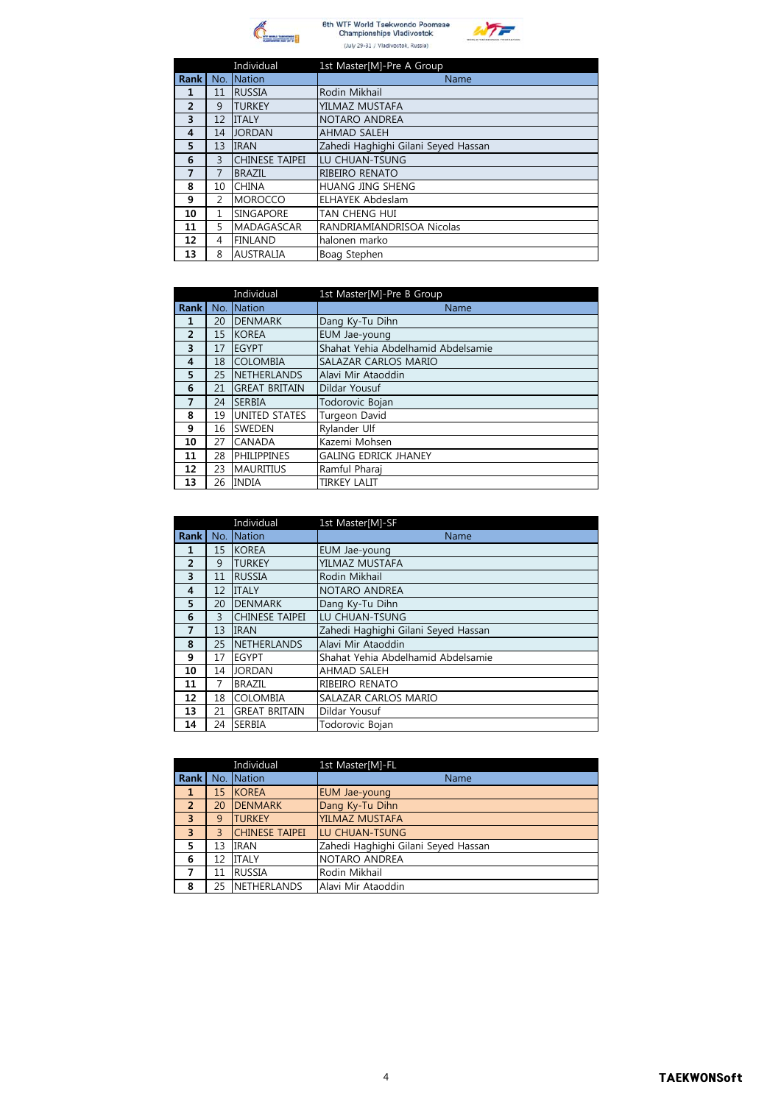





|             |                | Individual            | 1st Master[M]-Pre A Group           |
|-------------|----------------|-----------------------|-------------------------------------|
| <b>Rank</b> | No.            | <b>Nation</b>         | Name                                |
| 1           | 11             | <b>RUSSIA</b>         | Rodin Mikhail                       |
| 2           | 9              | <b>TURKEY</b>         | YILMAZ MUSTAFA                      |
| 3           | 12             | <b>ITALY</b>          | NOTARO ANDREA                       |
| 4           | 14             | <b>JORDAN</b>         | <b>AHMAD SALEH</b>                  |
| 5           | 13             | <b>IRAN</b>           | Zahedi Haghighi Gilani Seyed Hassan |
| 6           | 3              | <b>CHINESE TAIPEI</b> | LU CHUAN-TSUNG                      |
| 7           | 7              | <b>BRAZIL</b>         | RIBEIRO RENATO                      |
| 8           | 10             | <b>CHINA</b>          | HUANG JING SHENG                    |
| 9           | $\overline{2}$ | <b>MOROCCO</b>        | <b>ELHAYEK Abdeslam</b>             |
| 10          | 1              | <b>SINGAPORE</b>      | <b>TAN CHENG HUI</b>                |
| 11          | 5              | <b>MADAGASCAR</b>     | RANDRIAMIANDRISOA Nicolas           |
| 12          | 4              | <b>FINLAND</b>        | halonen marko                       |
| 13          | 8              | <b>AUSTRALIA</b>      | Boag Stephen                        |

|                |     | Individual           | 1st Master[M]-Pre B Group          |
|----------------|-----|----------------------|------------------------------------|
| <b>Rank</b>    | No. | <b>Nation</b>        | Name                               |
| 1              | 20  | <b>DENMARK</b>       | Dang Ky-Tu Dihn                    |
| $\overline{2}$ | 15  | <b>KOREA</b>         | EUM Jae-young                      |
| 3              | 17  | <b>EGYPT</b>         | Shahat Yehia Abdelhamid Abdelsamie |
| 4              | 18  | <b>COLOMBIA</b>      | SALAZAR CARLOS MARIO               |
| 5              | 25  | <b>NETHERLANDS</b>   | Alavi Mir Ataoddin                 |
| 6              | 21  | <b>GREAT BRITAIN</b> | Dildar Yousuf                      |
| $\overline{7}$ | 24  | <b>SERBIA</b>        | Todorovic Bojan                    |
| 8              | 19  | <b>UNITED STATES</b> | Turgeon David                      |
| 9              | 16  | <b>SWEDEN</b>        | Rylander Ulf                       |
| 10             | 27  | CANADA               | Kazemi Mohsen                      |
| 11             | 28  | <b>PHILIPPINES</b>   | <b>GALING EDRICK JHANEY</b>        |
| 12             | 23  | <b>MAURITIUS</b>     | Ramful Pharai                      |
| 13             | 26  | <b>INDIA</b>         | <b>TIRKEY LALIT</b>                |

|                |     | Individual            | 1st Master[M]-SF                    |
|----------------|-----|-----------------------|-------------------------------------|
| <b>Rank</b>    | No. | <b>Nation</b>         | Name                                |
| 1              | 15  | <b>KOREA</b>          | EUM Jae-young                       |
| $\overline{2}$ | 9   | <b>TURKEY</b>         | YILMAZ MUSTAFA                      |
| 3              | 11  | <b>RUSSIA</b>         | Rodin Mikhail                       |
| 4              | 12  | <b>ITALY</b>          | NOTARO ANDREA                       |
| 5              | 20  | <b>DENMARK</b>        | Dang Ky-Tu Dihn                     |
| 6              | 3   | <b>CHINESE TAIPEI</b> | LU CHUAN-TSUNG                      |
| 7              | 13  | <b>IRAN</b>           | Zahedi Haghighi Gilani Seyed Hassan |
| 8              | 25  | <b>NETHERLANDS</b>    | Alavi Mir Ataoddin                  |
| 9              | 17  | <b>EGYPT</b>          | Shahat Yehia Abdelhamid Abdelsamie  |
| 10             | 14  | <b>JORDAN</b>         | AHMAD SALEH                         |
| 11             | 7   | <b>BRAZIL</b>         | RIBEIRO RENATO                      |
| 12             | 18  | <b>COLOMBIA</b>       | SALAZAR CARLOS MARIO                |
| 13             | 21  | <b>GREAT BRITAIN</b>  | Dildar Yousuf                       |
| 14             | 24  | <b>SERBIA</b>         | Todorovic Bojan                     |

|                   |    | Individual            | 1st Master[M]-FL                    |
|-------------------|----|-----------------------|-------------------------------------|
| Rank <sup>1</sup> |    | No. Nation            | Name                                |
| 1                 | 15 | <b>KOREA</b>          | <b>EUM Jae-young</b>                |
| $\overline{2}$    | 20 | <b>DENMARK</b>        | Dang Ky-Tu Dihn                     |
| 3                 | 9  | <b>TURKEY</b>         | YILMAZ MUSTAFA                      |
| 3                 | 3  | <b>CHINESE TAIPEI</b> | <b>LU CHUAN-TSUNG</b>               |
| 5                 | 13 | <b>IRAN</b>           | Zahedi Haghighi Gilani Seyed Hassan |
| 6                 | 12 | <b>ITALY</b>          | NOTARO ANDREA                       |
| 7                 | 11 | <b>RUSSIA</b>         | Rodin Mikhail                       |
| 8                 | 25 | <b>NETHERLANDS</b>    | Alavi Mir Ataoddin                  |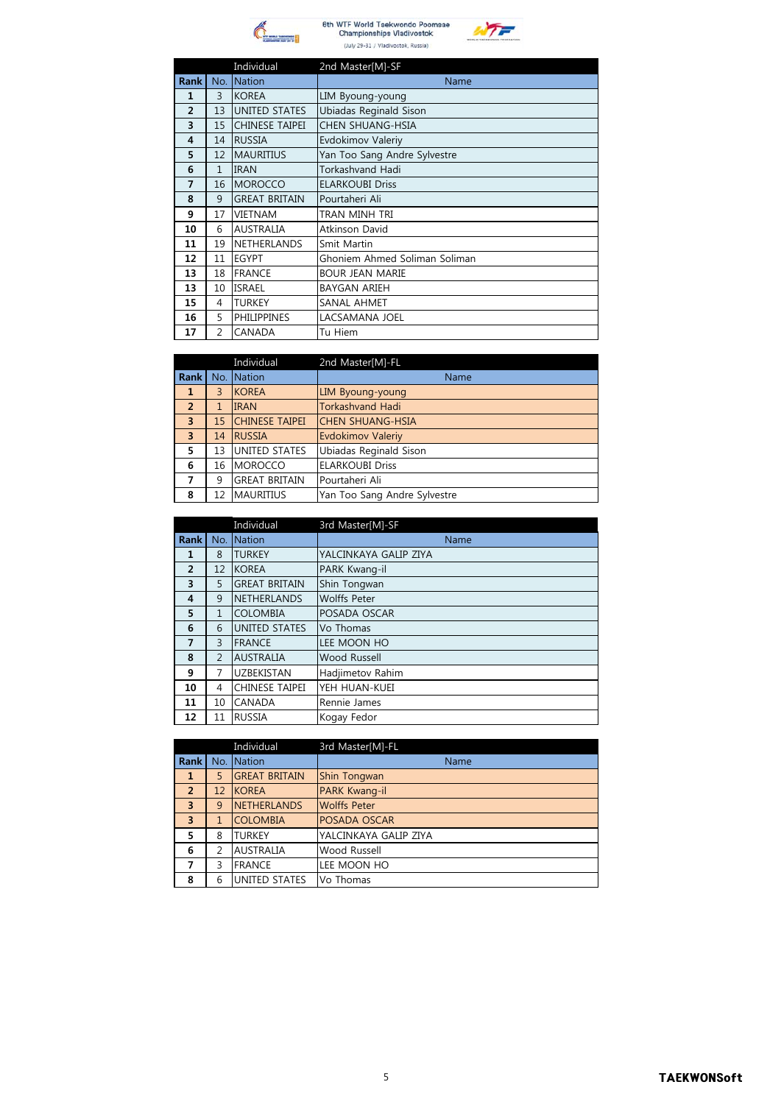



|                |                | Individual            | 2nd Master[M]-SF              |
|----------------|----------------|-----------------------|-------------------------------|
| <b>Rank</b>    | No.            | Nation                | Name                          |
| 1              | 3              | <b>KOREA</b>          | LIM Byoung-young              |
| $\overline{2}$ | 13             | <b>UNITED STATES</b>  | Ubiadas Reginald Sison        |
| 3              | 15             | <b>CHINESE TAIPEI</b> | CHEN SHUANG-HSIA              |
| 4              | 14             | <b>RUSSIA</b>         | Evdokimov Valeriy             |
| 5              | 12             | <b>MAURITIUS</b>      | Yan Too Sang Andre Sylvestre  |
| 6              | $\mathbf{1}$   | <b>IRAN</b>           | Torkashvand Hadi              |
| 7              | 16             | <b>MOROCCO</b>        | <b>ELARKOUBI Driss</b>        |
| 8              | 9              | <b>GREAT BRITAIN</b>  | Pourtaheri Ali                |
| 9              | 17             | <b>VIETNAM</b>        | TRAN MINH TRI                 |
| 10             | 6              | <b>AUSTRALIA</b>      | Atkinson David                |
| 11             | 19             | <b>NETHERLANDS</b>    | Smit Martin                   |
| 12             | 11             | <b>EGYPT</b>          | Ghoniem Ahmed Soliman Soliman |
| 13             | 18             | <b>FRANCE</b>         | <b>BOUR JEAN MARIE</b>        |
| 13             | 10             | <b>ISRAEL</b>         | <b>BAYGAN ARIEH</b>           |
| 15             | 4              | <b>TURKEY</b>         | SANAL AHMET                   |
| 16             | 5              | <b>PHILIPPINES</b>    | LACSAMANA JOEL                |
| 17             | $\overline{2}$ | CANADA                | Tu Hiem                       |

|                         |     | Individual            | 2nd Master[M]-FL             |
|-------------------------|-----|-----------------------|------------------------------|
| Rank                    | No. | Nation                | <b>Name</b>                  |
| 1                       | 3   | <b>KOREA</b>          | LIM Byoung-young             |
| $\overline{2}$          | 1   | <b>IRAN</b>           | <b>Torkashvand Hadi</b>      |
| $\overline{\mathbf{3}}$ | 15  | <b>CHINESE TAIPEI</b> | <b>CHEN SHUANG-HSIA</b>      |
| $\overline{3}$          | 14  | <b>RUSSIA</b>         | <b>Evdokimov Valeriy</b>     |
| 5                       | 13  | <b>UNITED STATES</b>  | Ubiadas Reginald Sison       |
| 6                       | 16  | <b>MOROCCO</b>        | <b>ELARKOUBI Driss</b>       |
| 7                       | 9   | <b>GREAT BRITAIN</b>  | Pourtaheri Ali               |
| 8                       | 12  | <b>MAURITIUS</b>      | Yan Too Sang Andre Sylvestre |

|                |                | Individual           | 3rd Master[M]-SF      |
|----------------|----------------|----------------------|-----------------------|
| <b>Rank</b>    | No.            | <b>Nation</b>        | <b>Name</b>           |
| 1              | 8              | <b>TURKEY</b>        | YALCINKAYA GALIP ZIYA |
| $\overline{2}$ | 12             | <b>KOREA</b>         | PARK Kwang-il         |
| 3              | 5              | <b>GREAT BRITAIN</b> | Shin Tongwan          |
| 4              | 9              | <b>NETHERLANDS</b>   | <b>Wolffs Peter</b>   |
| 5              | 1              | <b>COLOMBIA</b>      | POSADA OSCAR          |
| 6              | 6              | UNITED STATES        | Vo Thomas             |
| $\overline{7}$ | 3              | <b>FRANCE</b>        | LEE MOON HO           |
| 8              | $\overline{2}$ | <b>AUSTRALIA</b>     | Wood Russell          |
| 9              | 7              | <b>UZBEKISTAN</b>    | Hadjimetov Rahim      |
| 10             | 4              | CHINESE TAIPEI       | YEH HUAN-KUEI         |
| 11             | 10             | CANADA               | Rennie James          |
| 12             | 11             | <b>RUSSIA</b>        | Kogay Fedor           |

|                |     | Individual           | 3rd Master[M]-FL      |
|----------------|-----|----------------------|-----------------------|
| Rank           | No. | Nation               | Name                  |
| 1              | 5   | <b>GREAT BRITAIN</b> | Shin Tongwan          |
| $\overline{2}$ | 12  | <b>KOREA</b>         | PARK Kwang-il         |
| 3              | 9   | <b>NETHERLANDS</b>   | <b>Wolffs Peter</b>   |
| 3              |     | <b>COLOMBIA</b>      | POSADA OSCAR          |
| 5              | 8   | <b>TURKEY</b>        | YALCINKAYA GALIP ZIYA |
| 6              | 2   | <b>AUSTRALIA</b>     | Wood Russell          |
| 7              | 3   | <b>FRANCE</b>        | LEE MOON HO           |
| 8              | 6   | UNITED STATES        | Vo Thomas             |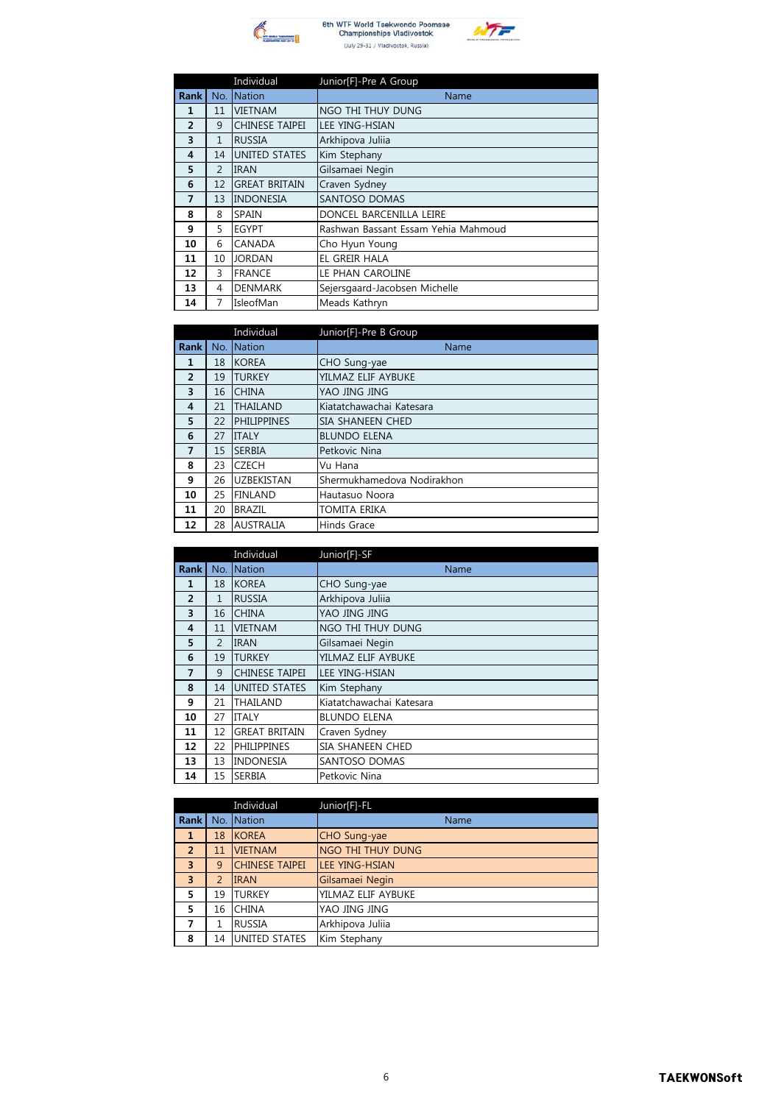



|                |                | Individual            | Junior[F]-Pre A Group               |
|----------------|----------------|-----------------------|-------------------------------------|
| <b>Rank</b>    |                | No. Nation            | Name                                |
| $\mathbf{1}$   | 11             | <b>VIETNAM</b>        | NGO THI THUY DUNG                   |
| $\overline{2}$ | 9              | <b>CHINESE TAIPEI</b> | <b>LEE YING-HSIAN</b>               |
| 3              | $\mathbf{1}$   | <b>RUSSIA</b>         | Arkhipova Julija                    |
| 4              | 14             | UNITED STATES         | Kim Stephany                        |
| 5              | $\overline{2}$ | <b>IRAN</b>           | Gilsamaei Negin                     |
| 6              | 12             | <b>GREAT BRITAIN</b>  | Craven Sydney                       |
| $\overline{7}$ | 13             | <b>INDONESIA</b>      | SANTOSO DOMAS                       |
| 8              | 8              | <b>SPAIN</b>          | DONCEL BARCENILLA LEIRE             |
| 9              | 5              | <b>EGYPT</b>          | Rashwan Bassant Essam Yehia Mahmoud |
| 10             | 6              | CANADA                | Cho Hyun Young                      |
| 11             | 10             | <b>JORDAN</b>         | EL GREIR HALA                       |
| 12             | 3              | <b>FRANCE</b>         | LE PHAN CAROLINE                    |
| 13             | 4              | <b>DENMARK</b>        | Sejersgaard-Jacobsen Michelle       |
| 14             | 7              | IsleofMan             | Meads Kathryn                       |

|                |     | Individual         | Junior[F]-Pre B Group      |
|----------------|-----|--------------------|----------------------------|
| <b>Rank</b>    | No. | Nation             | Name                       |
| 1              | 18  | <b>KOREA</b>       | CHO Sung-yae               |
| $\overline{2}$ | 19  | <b>TURKEY</b>      | YILMAZ ELIF AYBUKE         |
| 3              | 16  | <b>CHINA</b>       | YAO JING JING              |
| 4              | 21  | <b>THAILAND</b>    | Kiatatchawachai Katesara   |
| 5              | 22  | <b>PHILIPPINES</b> | SIA SHANEEN CHED           |
| 6              | 27  | <b>ITALY</b>       | <b>BLUNDO ELENA</b>        |
| $\overline{7}$ | 15  | <b>SERBIA</b>      | Petkovic Nina              |
| 8              | 23  | <b>CZECH</b>       | Vu Hana                    |
| 9              | 26  | <b>UZBEKISTAN</b>  | Shermukhamedova Nodirakhon |
| 10             | 25  | <b>FINLAND</b>     | Hautasuo Noora             |
| 11             | 20  | <b>BRAZIL</b>      | <b>TOMITA ERIKA</b>        |
| 12             | 28  | <b>AUSTRALIA</b>   | Hinds Grace                |

|                |                | Individual           | Junior[F]-SF             |
|----------------|----------------|----------------------|--------------------------|
| Rank I         | No.            | <b>Nation</b>        | Name                     |
| 1              | 18             | <b>KOREA</b>         | CHO Sung-yae             |
| $\overline{2}$ | $\mathbf{1}$   | <b>RUSSIA</b>        | Arkhipova Juliia         |
| 3              | 16             | <b>CHINA</b>         | YAO JING JING            |
| 4              | 11             | <b>VIETNAM</b>       | NGO THI THUY DUNG        |
| 5              | $\overline{2}$ | <b>IRAN</b>          | Gilsamaei Negin          |
| 6              | 19             | <b>TURKEY</b>        | YILMAZ ELIF AYBUKE       |
| $\overline{7}$ | 9              | CHINESE TAIPEI       | <b>LEE YING-HSIAN</b>    |
| 8              | 14             | <b>UNITED STATES</b> | Kim Stephany             |
| 9              | 21             | THAILAND             | Kiatatchawachai Katesara |
| 10             | 27             | <b>ITALY</b>         | <b>BLUNDO ELENA</b>      |
| 11             | 12             | <b>GREAT BRITAIN</b> | Craven Sydney            |
| 12             | 22             | <b>PHILIPPINES</b>   | SIA SHANEEN CHED         |
| 13             | 13             | <b>INDONESIA</b>     | SANTOSO DOMAS            |
| 14             | 15             | <b>SERBIA</b>        | Petkovic Nina            |

|                |               | Individual            | Junior[F]-FL          |
|----------------|---------------|-----------------------|-----------------------|
| Rank           |               | No. Nation            | <b>Name</b>           |
| $\mathbf{1}$   | 18            | <b>KOREA</b>          | CHO Sung-yae          |
| $\overline{2}$ | 11            | <b>VIETNAM</b>        | NGO THI THUY DUNG     |
| $\overline{3}$ | 9             | <b>CHINESE TAIPEI</b> | <b>LEE YING-HSIAN</b> |
| $\overline{3}$ | $\mathcal{P}$ | <b>IRAN</b>           | Gilsamaei Negin       |
| 5              | 19            | <b>TURKEY</b>         | YILMAZ ELIF AYBUKE    |
| 5              | 16            | <b>CHINA</b>          | YAO JING JING         |
| 7              | 1             | <b>RUSSIA</b>         | Arkhipova Juliia      |
| 8              | 14            | <b>UNITED STATES</b>  | Kim Stephany          |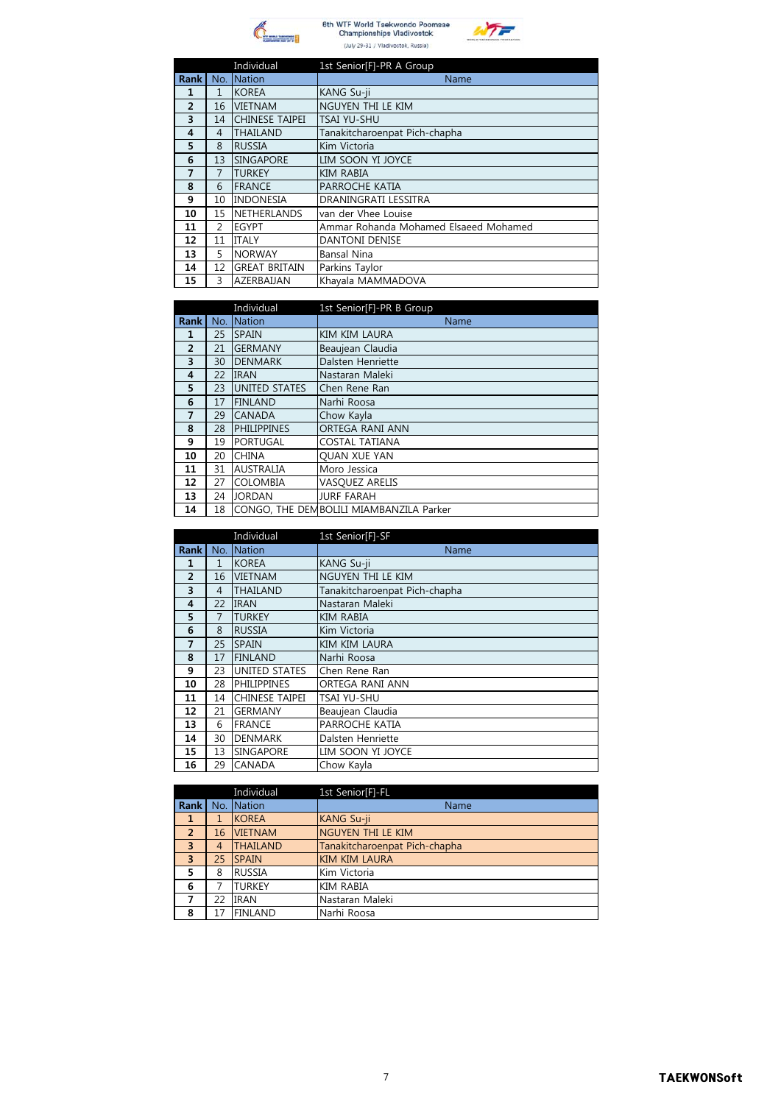



|                |                | Individual            | 1st Senior[F]-PR A Group              |
|----------------|----------------|-----------------------|---------------------------------------|
| <b>Rank</b>    | No.            | Nation                | Name                                  |
| 1              | 1              | <b>KOREA</b>          | KANG Su-ji                            |
| $\overline{2}$ | 16             | <b>VIETNAM</b>        | NGUYEN THI LE KIM                     |
| 3              | 14             | <b>CHINESE TAIPEI</b> | <b>TSAI YU-SHU</b>                    |
| $\overline{4}$ | $\overline{4}$ | <b>THAILAND</b>       | Tanakitcharoenpat Pich-chapha         |
| 5              | 8              | <b>RUSSIA</b>         | Kim Victoria                          |
| 6              | 13             | <b>SINGAPORE</b>      | LIM SOON YI JOYCE                     |
| 7              | 7              | <b>TURKEY</b>         | <b>KIM RABIA</b>                      |
| 8              | 6              | <b>FRANCE</b>         | PARROCHE KATIA                        |
| 9              | 10             | <b>INDONESIA</b>      | DRANINGRATI LESSITRA                  |
| 10             | 15             | <b>NETHERLANDS</b>    | van der Vhee Louise                   |
| 11             | $\mathcal{P}$  | <b>EGYPT</b>          | Ammar Rohanda Mohamed Elsaeed Mohamed |
| 12             | 11             | <b>ITALY</b>          | <b>DANTONI DENISE</b>                 |
| 13             | 5.             | <b>NORWAY</b>         | <b>Bansal Nina</b>                    |
| 14             | 12             | <b>GREAT BRITAIN</b>  | Parkins Taylor                        |
| 15             | 3              | AZERBAIJAN            | Khayala MAMMADOVA                     |

|                |     | Individual           | 1st Senior[F]-PR B Group                |
|----------------|-----|----------------------|-----------------------------------------|
| <b>Rank</b>    | No. | <b>Nation</b>        | Name                                    |
| 1              | 25  | <b>SPAIN</b>         | KIM KIM LAURA                           |
| 2              | 21  | <b>GERMANY</b>       | Beaujean Claudia                        |
| 3              | 30  | <b>DENMARK</b>       | Dalsten Henriette                       |
| 4              | 22  | <b>IRAN</b>          | Nastaran Maleki                         |
| 5              | 23  | <b>UNITED STATES</b> | Chen Rene Ran                           |
| 6              | 17  | <b>FINLAND</b>       | Narhi Roosa                             |
| $\overline{7}$ | 29  | <b>CANADA</b>        | Chow Kavla                              |
| 8              | 28  | <b>PHILIPPINES</b>   | ORTEGA RANI ANN                         |
| 9              | 19  | <b>PORTUGAL</b>      | <b>COSTAL TATIANA</b>                   |
| 10             | 20  | <b>CHINA</b>         | <b>OUAN XUE YAN</b>                     |
| 11             | 31  | <b>AUSTRALIA</b>     | Moro Jessica                            |
| 12             | 27  | <b>COLOMBIA</b>      | <b>VASQUEZ ARELIS</b>                   |
| 13             | 24  | <b>JORDAN</b>        | <b>JURF FARAH</b>                       |
| 14             | 18  |                      | CONGO, THE DEMBOLILI MIAMBANZILA Parker |

|                |                | Individual           | 1st Senior[F]-SF              |
|----------------|----------------|----------------------|-------------------------------|
| <b>Rank</b>    | No.            | Nation               | Name                          |
| 1              | $\mathbf{1}$   | <b>KOREA</b>         | KANG Su-ji                    |
| $\overline{2}$ | 16             | <b>VIETNAM</b>       | NGUYEN THI LE KIM             |
| 3              | $\overline{4}$ | <b>THAILAND</b>      | Tanakitcharoenpat Pich-chapha |
| $\overline{4}$ | 22             | <b>IRAN</b>          | Nastaran Maleki               |
| 5              | $\overline{7}$ | <b>TURKEY</b>        | <b>KIM RABIA</b>              |
| 6              | 8              | <b>RUSSIA</b>        | Kim Victoria                  |
| 7              | 25             | <b>SPAIN</b>         | KIM KIM LAURA                 |
| 8              | 17             | <b>FINLAND</b>       | Narhi Roosa                   |
| 9              | 23             | <b>UNITED STATES</b> | Chen Rene Ran                 |
| 10             | 28             | <b>PHILIPPINES</b>   | ORTEGA RANI ANN               |
| 11             | 14             | CHINESE TAIPEI       | TSAI YU-SHU                   |
| 12             | 21             | <b>GERMANY</b>       | Beaujean Claudia              |
| 13             | 6              | <b>FRANCE</b>        | PARROCHE KATIA                |
| 14             | 30             | <b>DENMARK</b>       | Dalsten Henriette             |
| 15             | 13             | SINGAPORE            | LIM SOON YI JOYCE             |
| 16             | 29             | CANADA               | Chow Kayla                    |

|                         |    | Individual      | 1st Senior[F]-FL              |
|-------------------------|----|-----------------|-------------------------------|
| Rank                    |    | No. Nation      | Name                          |
| 1                       | 1  | <b>KOREA</b>    | KANG Su-ji                    |
| $\overline{2}$          | 16 | <b>VIETNAM</b>  | NGUYEN THI LE KIM             |
| $\overline{\mathbf{3}}$ | 4  | <b>THAILAND</b> | Tanakitcharoenpat Pich-chapha |
| $\overline{3}$          | 25 | <b>SPAIN</b>    | <b>KIM KIM LAURA</b>          |
| 5                       | 8  | <b>RUSSIA</b>   | Kim Victoria                  |
| 6                       |    | TURKEY          | <b>KIM RABIA</b>              |
| 7                       | 22 | <b>IRAN</b>     | Nastaran Maleki               |
| 8                       | 17 | <b>FINLAND</b>  | Narhi Roosa                   |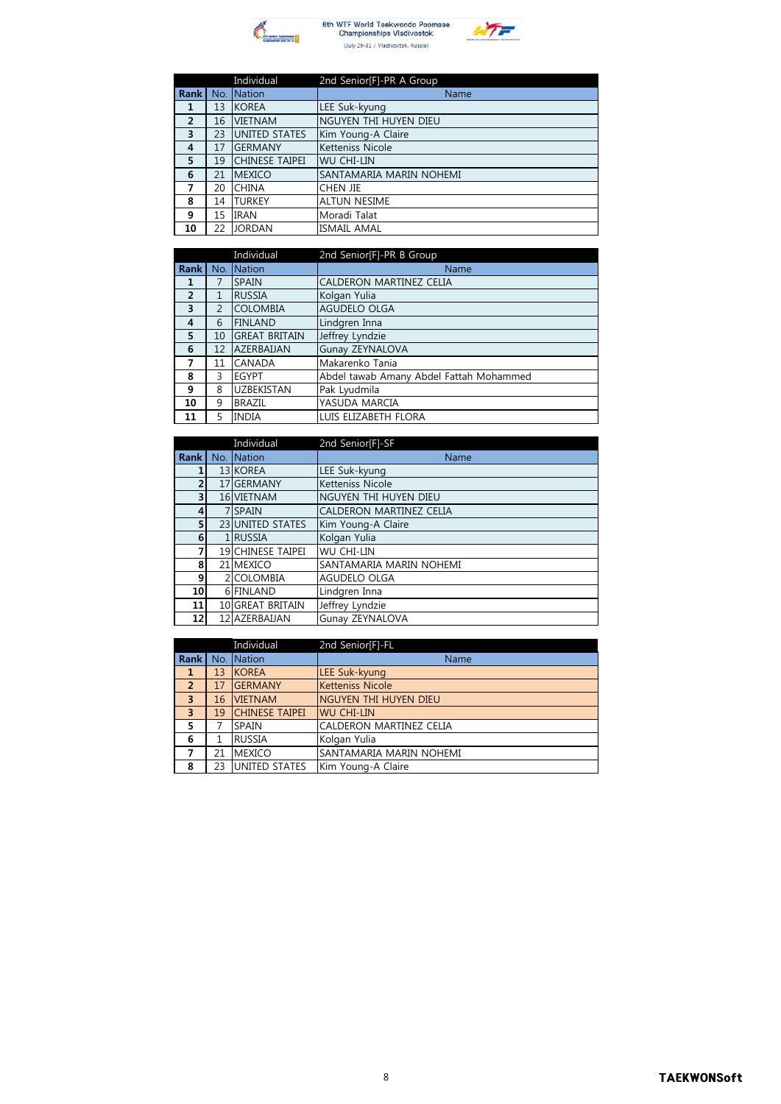



|                |    | Individual            | 2nd Senior[F]-PR A Group |
|----------------|----|-----------------------|--------------------------|
| <b>Rank</b>    |    | No. Nation            | Name                     |
| 1              | 13 | <b>KOREA</b>          | LEE Suk-kyung            |
| $\overline{2}$ | 16 | <b>VIETNAM</b>        | NGUYEN THI HUYEN DIEU    |
| 3              | 23 | <b>UNITED STATES</b>  | Kim Young-A Claire       |
| 4              | 17 | <b>GERMANY</b>        | Ketteniss Nicole         |
| 5              | 19 | <b>CHINESE TAIPEI</b> | <b>WU CHI-LIN</b>        |
| 6              | 21 | <b>MEXICO</b>         | SANTAMARIA MARIN NOHEMI  |
| 7              | 20 | <b>CHINA</b>          | CHEN JIE                 |
| 8              | 14 | <b>TURKEY</b>         | <b>ALTUN NESIME</b>      |
| 9              | 15 | <b>IRAN</b>           | Moradi Talat             |
| 10             | 22 | <b>JORDAN</b>         | <b>ISMAIL AMAL</b>       |

|                |     | Individual           | 2nd Senior[F]-PR B Group                |
|----------------|-----|----------------------|-----------------------------------------|
| <b>Rank</b>    | No. | Nation               | Name                                    |
| 1              |     | <b>SPAIN</b>         | CALDERON MARTINEZ CELIA                 |
| $\overline{2}$ | 1   | <b>RUSSIA</b>        | Kolgan Yulia                            |
| 3              | 2   | <b>COLOMBIA</b>      | AGUDELO OLGA                            |
| 4              | 6   | <b>FINLAND</b>       | Lindgren Inna                           |
| 5              | 10  | <b>GREAT BRITAIN</b> | Jeffrey Lyndzie                         |
| 6              | 12  | <b>AZERBAUAN</b>     | Gunay ZEYNALOVA                         |
| 7              | 11  | <b>CANADA</b>        | Makarenko Tania                         |
| 8              | 3   | <b>EGYPT</b>         | Abdel tawab Amany Abdel Fattah Mohammed |
| 9              | 8   | <b>UZBEKISTAN</b>    | Pak Lyudmila                            |
| 10             | 9   | <b>BRAZIL</b>        | YASUDA MARCIA                           |
| 11             | 5   | <b>INDIA</b>         | LUIS ELIZABETH FLORA                    |

|                 | Individual               | 2nd Senior[F]-SF        |
|-----------------|--------------------------|-------------------------|
| Rank            | No. Nation               | Name                    |
| 1               | 13 KOREA                 | LEE Suk-kyung           |
| $\overline{2}$  | 17 GERMANY               | Ketteniss Nicole        |
| 3               | 16 VIETNAM               | NGUYEN THI HUYEN DIEU   |
| 4               | 7 SPAIN                  | CALDERON MARTINEZ CELIA |
| 5               | 23 UNITED STATES         | Kim Young-A Claire      |
| 6               | 1 RUSSIA                 | Kolgan Yulia            |
| 7               | <b>19 CHINESE TAIPEI</b> | <b>WU CHI-LIN</b>       |
| 8               | 21 MEXICO                | SANTAMARIA MARIN NOHEMI |
| 9               | 2 COLOMBIA               | AGUDELO OLGA            |
| 10 <sup>1</sup> | 6 FINLAND                | Lindgren Inna           |
| 11              | 10 GREAT BRITAIN         | Jeffrey Lyndzie         |
| 12              | 12 AZERBAUAN             | Gunay ZEYNALOVA         |

|                         |    | Individual            | 2nd Senior[F]-FL        |
|-------------------------|----|-----------------------|-------------------------|
| Rank                    |    | No. Nation            | Name                    |
| -1                      | 13 | <b>KOREA</b>          | LEE Suk-kyung           |
| $\overline{2}$          | 17 | <b>GERMANY</b>        | <b>Ketteniss Nicole</b> |
| $\overline{3}$          | 16 | <b>VIETNAM</b>        | NGUYEN THI HUYEN DIEU   |
| $\overline{\mathbf{3}}$ | 19 | <b>CHINESE TAIPEI</b> | <b>WU CHI-LIN</b>       |
| 5                       |    | <b>SPAIN</b>          | CALDERON MARTINEZ CELIA |
| 6                       |    | <b>RUSSIA</b>         | Kolgan Yulia            |
| 7                       | 21 | <b>MEXICO</b>         | SANTAMARIA MARIN NOHEMI |
| 8                       | 23 | <b>UNITED STATES</b>  | Kim Young-A Claire      |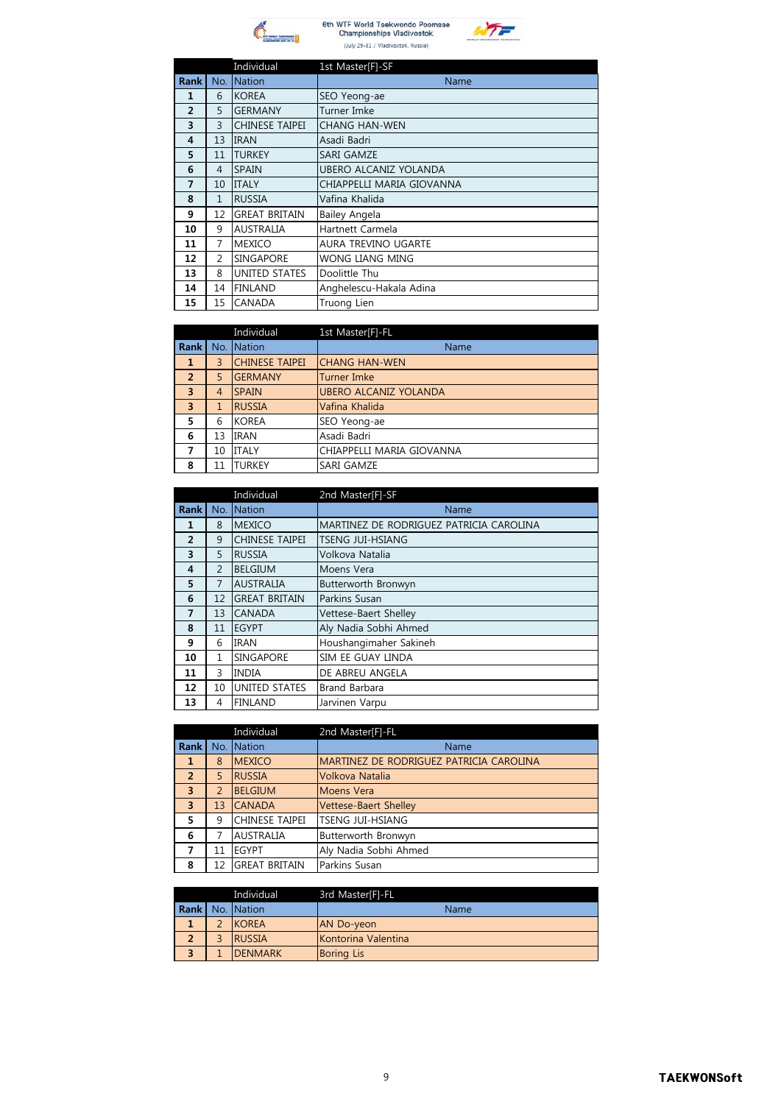



|                |                | Individual           | 1st Master[F]-SF          |
|----------------|----------------|----------------------|---------------------------|
| <b>Rank</b>    |                | No. Nation           | Name                      |
| 1              | 6              | <b>KOREA</b>         | SEO Yeong-ae              |
| $\overline{2}$ | 5              | <b>GERMANY</b>       | Turner Imke               |
| 3              | 3              | CHINESE TAIPEI       | <b>CHANG HAN-WEN</b>      |
| 4              | 13             | <b>IRAN</b>          | Asadi Badri               |
| 5              | 11             | <b>TURKEY</b>        | <b>SARI GAMZE</b>         |
| 6              | 4              | <b>SPAIN</b>         | UBERO ALCANIZ YOLANDA     |
| $\overline{7}$ | 10             | <b>ITALY</b>         | CHIAPPELLI MARIA GIOVANNA |
| 8              | $\mathbf{1}$   | <b>RUSSIA</b>        | Vafina Khalida            |
| 9              | 12             | <b>GREAT BRITAIN</b> | <b>Bailey Angela</b>      |
| 10             | 9              | <b>AUSTRALIA</b>     | Hartnett Carmela          |
| 11             | $\overline{7}$ | <b>MEXICO</b>        | AURA TREVINO UGARTE       |
| 12             | 2              | <b>SINGAPORE</b>     | <b>WONG LIANG MING</b>    |
| 13             | 8              | UNITED STATES        | Doolittle Thu             |
| 14             | 14             | <b>FINLAND</b>       | Anghelescu-Hakala Adina   |
| 15             | 15             | <b>CANADA</b>        | Truong Lien               |

|                         |     | Individual            | 1st Master[F]-FL             |
|-------------------------|-----|-----------------------|------------------------------|
| <b>Rank</b>             | No. | <b>Nation</b>         | Name                         |
| 1                       | 3   | <b>CHINESE TAIPEI</b> | <b>CHANG HAN-WEN</b>         |
| $\overline{2}$          | 5   | <b>GERMANY</b>        | <b>Turner Imke</b>           |
| $\overline{\mathbf{3}}$ | 4   | <b>SPAIN</b>          | <b>UBERO ALCANIZ YOLANDA</b> |
| $\overline{\mathbf{3}}$ |     | <b>RUSSIA</b>         | Vafina Khalida               |
| 5                       | 6   | <b>KOREA</b>          | SEO Yeong-ae                 |
| 6                       | 13  | <b>IRAN</b>           | Asadi Badri                  |
| 7                       | 10  | <b>ITALY</b>          | CHIAPPELLI MARIA GIOVANNA    |
| 8                       | 11  | <b>TURKEY</b>         | SARI GAMZE                   |

|                         |                | Individual           | 2nd Master[F]-SF                        |
|-------------------------|----------------|----------------------|-----------------------------------------|
| <b>Rank</b>             | No.            | <b>Nation</b>        | Name                                    |
| $\mathbf{1}$            | 8              | <b>MEXICO</b>        | MARTINEZ DE RODRIGUEZ PATRICIA CAROLINA |
| $\overline{2}$          | 9              | CHINESE TAIPEI       | <b>TSENG JUI-HSIANG</b>                 |
| $\overline{\mathbf{3}}$ | 5              | <b>RUSSIA</b>        | Volkova Natalia                         |
| $\overline{4}$          | $\overline{2}$ | <b>BELGIUM</b>       | Moens Vera                              |
| 5                       | $\overline{7}$ | <b>AUSTRALIA</b>     | Butterworth Bronwyn                     |
| 6                       | 12             | <b>GREAT BRITAIN</b> | Parkins Susan                           |
| $\overline{7}$          | 13             | <b>CANADA</b>        | Vettese-Baert Shelley                   |
| 8                       | 11             | <b>EGYPT</b>         | Aly Nadia Sobhi Ahmed                   |
| 9                       | 6              | <b>IRAN</b>          | Houshangimaher Sakineh                  |
| 10                      | 1              | <b>SINGAPORE</b>     | SIM EE GUAY LINDA                       |
| 11                      | 3              | <b>INDIA</b>         | DE ABREU ANGELA                         |
| 12                      | 10             | <b>UNITED STATES</b> | <b>Brand Barbara</b>                    |
| 13                      | 4              | <b>FINLAND</b>       | Jarvinen Varpu                          |

|                         |               | Individual            | 2nd Master[F]-FL                        |
|-------------------------|---------------|-----------------------|-----------------------------------------|
| <b>Rank</b>             | No.           | <b>Nation</b>         | <b>Name</b>                             |
| 1                       | 8             | <b>MEXICO</b>         | MARTINEZ DE RODRIGUEZ PATRICIA CAROLINA |
| $\overline{2}$          | 5             | <b>RUSSIA</b>         | Volkova Natalia                         |
| $\overline{3}$          | $\mathcal{P}$ | <b>BELGIUM</b>        | <b>Moens Vera</b>                       |
| $\overline{\mathbf{3}}$ | 13            | <b>CANADA</b>         | <b>Vettese-Baert Shelley</b>            |
| 5                       | 9             | <b>CHINESE TAIPEI</b> | <b>TSENG JUI-HSIANG</b>                 |
| 6                       | 7             | <b>AUSTRALIA</b>      | Butterworth Bronwyn                     |
| 7                       | 11            | <b>EGYPT</b>          | Aly Nadia Sobhi Ahmed                   |
| 8                       | 12            | <b>GREAT BRITAIN</b>  | Parkins Susan                           |

|  | Individual             | 3rd Master[F]-FL    |
|--|------------------------|---------------------|
|  | <b>Rank</b> No. Nation | Name                |
|  | <b>KOREA</b>           | <b>AN Do-yeon</b>   |
|  | <b>RUSSIA</b>          | Kontorina Valentina |
|  | <b>DENMARK</b>         | <b>Boring Lis</b>   |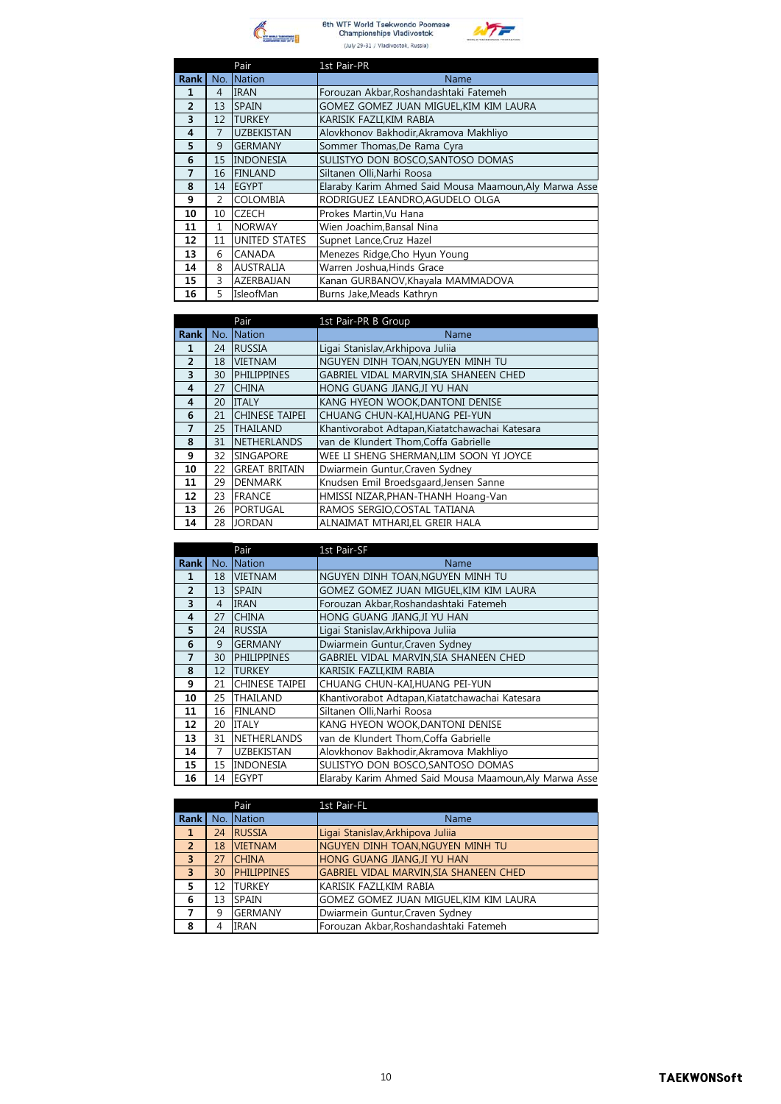



|                |                | Pair                 | 1st Pair-PR                                            |
|----------------|----------------|----------------------|--------------------------------------------------------|
| <b>Rank</b>    | No.            | <b>Nation</b>        | Name                                                   |
| 1              | 4              | <b>IRAN</b>          | Forouzan Akbar, Roshandashtaki Fatemeh                 |
| $\overline{2}$ | 13             | <b>SPAIN</b>         | GOMEZ GOMEZ JUAN MIGUEL, KIM KIM LAURA                 |
| 3              | 12             | <b>TURKEY</b>        | KARISIK FAZLI, KIM RABIA                               |
| 4              | $\overline{7}$ | <b>UZBEKISTAN</b>    | Alovkhonov Bakhodir, Akramova Makhliyo                 |
| 5              | 9              | <b>GERMANY</b>       | Sommer Thomas, De Rama Cyra                            |
| 6              | 15             | <b>INDONESIA</b>     | SULISTYO DON BOSCO, SANTOSO DOMAS                      |
| $\overline{7}$ | 16             | <b>FINLAND</b>       | Siltanen Olli, Narhi Roosa                             |
| 8              | 14             | <b>EGYPT</b>         | Elaraby Karim Ahmed Said Mousa Maamoun, Aly Marwa Asse |
| 9              | $\mathcal{P}$  | <b>COLOMBIA</b>      | RODRIGUEZ LEANDRO, AGUDELO OLGA                        |
| 10             | 10             | <b>CZECH</b>         | Prokes Martin, Vu Hana                                 |
| 11             | 1              | <b>NORWAY</b>        | Wien Joachim, Bansal Nina                              |
| 12             | 11             | <b>UNITED STATES</b> | Supnet Lance, Cruz Hazel                               |
| 13             | 6              | <b>CANADA</b>        | Menezes Ridge, Cho Hyun Young                          |
| 14             | 8              | <b>AUSTRALIA</b>     | Warren Joshua, Hinds Grace                             |
| 15             | 3              | AZERBAIJAN           | Kanan GURBANOV, Khayala MAMMADOVA                      |
| 16             | 5              | IsleofMan            | Burns Jake, Meads Kathryn                              |

|                |     | Pair                  | 1st Pair-PR B Group                             |
|----------------|-----|-----------------------|-------------------------------------------------|
| <b>Rank</b>    | No. | Nation                | Name                                            |
| 1              | 24  | <b>RUSSIA</b>         | Ligai Stanislav, Arkhipova Juliia               |
| $\overline{2}$ | 18  | <b>VIETNAM</b>        | NGUYEN DINH TOAN, NGUYEN MINH TU                |
| 3              | 30  | <b>PHILIPPINES</b>    | GABRIEL VIDAL MARVIN, SIA SHANEEN CHED          |
| $\overline{4}$ | 27  | <b>CHINA</b>          | HONG GUANG JIANGJI YU HAN                       |
| $\overline{4}$ | 20  | <b>ITALY</b>          | KANG HYEON WOOK, DANTONI DENISE                 |
| 6              | 21  | <b>CHINESE TAIPEI</b> | CHUANG CHUN-KAI, HUANG PEI-YUN                  |
| 7              | 25  | <b>THAILAND</b>       | Khantivorabot Adtapan, Kiatatchawachai Katesara |
| 8              | 31  | <b>NETHERLANDS</b>    | van de Klundert Thom, Coffa Gabrielle           |
| 9              | 32  | <b>SINGAPORE</b>      | WEE LI SHENG SHERMAN, LIM SOON YI JOYCE         |
| 10             | 22  | <b>GREAT BRITAIN</b>  | Dwiarmein Guntur, Craven Sydney                 |
| 11             | 29  | <b>DENMARK</b>        | Knudsen Emil Broedsgaard, Jensen Sanne          |
| 12             | 23  | <b>FRANCE</b>         | HMISSI NIZAR, PHAN-THANH Hoang-Van              |
| 13             | 26  | <b>PORTUGAL</b>       | RAMOS SERGIO, COSTAL TATIANA                    |
| 14             | 28  | <b>JORDAN</b>         | ALNAIMAT MTHARI,EL GREIR HALA                   |

|                         |     | Pair                  | 1st Pair-SF                                            |
|-------------------------|-----|-----------------------|--------------------------------------------------------|
| <b>Rank</b>             | No. | <b>Nation</b>         | Name                                                   |
| 1                       | 18  | <b>VIETNAM</b>        | NGUYEN DINH TOAN, NGUYEN MINH TU                       |
| $\overline{2}$          | 13  | <b>SPAIN</b>          | GOMEZ GOMEZ JUAN MIGUEL,KIM KIM LAURA                  |
| 3                       | 4   | <b>IRAN</b>           | Forouzan Akbar, Roshandashtaki Fatemeh                 |
| $\overline{\mathbf{4}}$ | 27  | <b>CHINA</b>          | HONG GUANG JIANG, JI YU HAN                            |
| 5                       | 24  | <b>RUSSIA</b>         | Ligai Stanislav, Arkhipova Julija                      |
| 6                       | 9   | <b>GERMANY</b>        | Dwiarmein Guntur, Craven Sydney                        |
| 7                       | 30  | <b>PHILIPPINES</b>    | GABRIEL VIDAL MARVIN, SIA SHANEEN CHED                 |
| 8                       | 12  | <b>TURKEY</b>         | KARISIK FAZLI, KIM RABIA                               |
| 9                       | 21  | <b>CHINESE TAIPEI</b> | CHUANG CHUN-KAI, HUANG PEI-YUN                         |
| 10                      | 25  | THAILAND              | Khantivorabot Adtapan, Kiatatchawachai Katesara        |
| 11                      | 16  | <b>FINLAND</b>        | Siltanen Olli, Narhi Roosa                             |
| 12                      | 20  | <b>ITALY</b>          | KANG HYEON WOOK, DANTONI DENISE                        |
| 13                      | 31  | <b>NETHERLANDS</b>    | van de Klundert Thom, Coffa Gabrielle                  |
| 14                      | 7   | <b>UZBEKISTAN</b>     | Alovkhonov Bakhodir, Akramova Makhliyo                 |
| 15                      | 15  | <b>INDONESIA</b>      | SULISTYO DON BOSCO, SANTOSO DOMAS                      |
| 16                      | 14  | <b>EGYPT</b>          | Elaraby Karim Ahmed Said Mousa Maamoun, Aly Marwa Asse |

|                |    | Pair               | 1st Pair-FL                                   |
|----------------|----|--------------------|-----------------------------------------------|
| Rank           |    | No. Nation         | <b>Name</b>                                   |
| -1             | 24 | <b>RUSSIA</b>      | Ligai Stanislav, Arkhipova Julija             |
| $\overline{2}$ | 18 | <b>VIETNAM</b>     | NGUYEN DINH TOAN, NGUYEN MINH TU              |
| $\overline{3}$ | 27 | <b>CHINA</b>       | HONG GUANG JIANG, JI YU HAN                   |
| $\overline{3}$ | 30 | <b>PHILIPPINES</b> | <b>GABRIEL VIDAL MARVIN, SIA SHANEEN CHED</b> |
| 5              | 12 | <b>TURKEY</b>      | KARISIK FAZLI,KIM RABIA                       |
| 6              | 13 | SPAIN              | GOMEZ GOMEZ JUAN MIGUEL, KIM KIM LAURA        |
| 7              | 9  | <b>GERMANY</b>     | Dwiarmein Guntur, Craven Sydney               |
| 8              | 4  | <b>IRAN</b>        | Forouzan Akbar, Roshandashtaki Fatemeh        |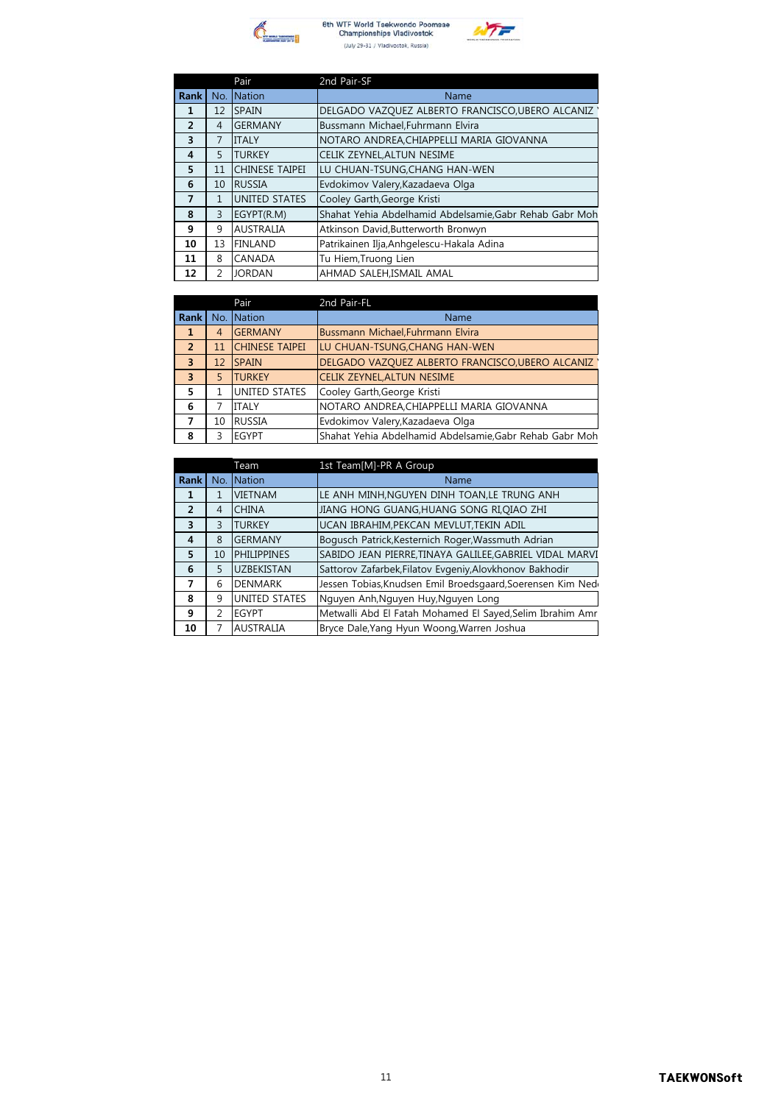



|                |                | Pair                 | 2nd Pair-SF                                             |
|----------------|----------------|----------------------|---------------------------------------------------------|
| <b>Rank</b>    | No.            | <b>Nation</b>        | Name                                                    |
| 1              | 12             | <b>SPAIN</b>         | DELGADO VAZQUEZ ALBERTO FRANCISCO,UBERO ALCANIZ         |
| $\overline{2}$ | $\overline{4}$ | <b>GERMANY</b>       | Bussmann Michael, Fuhrmann Elvira                       |
| 3              | $\overline{7}$ | <b>ITALY</b>         | NOTARO ANDREA, CHIAPPELLI MARIA GIOVANNA                |
| 4              | 5              | <b>TURKEY</b>        | CELIK ZEYNEL, ALTUN NESIME                              |
| 5              | 11             | CHINESE TAIPEI       | LU CHUAN-TSUNG.CHANG HAN-WEN                            |
| 6              | 10             | <b>RUSSIA</b>        | Evdokimov Valery, Kazadaeva Olga                        |
| $\overline{7}$ | 1              | <b>UNITED STATES</b> | Cooley Garth, George Kristi                             |
| 8              | 3              | EGYPT(R.M)           | Shahat Yehia Abdelhamid Abdelsamie, Gabr Rehab Gabr Moh |
| 9              | 9              | <b>AUSTRALIA</b>     | Atkinson David, Butterworth Bronwyn                     |
| 10             | 13             | <b>FINLAND</b>       | Patrikainen Ilja, Anhgelescu-Hakala Adina               |
| 11             | 8              | CANADA               | Tu Hiem, Truong Lien                                    |
| 12             | 2              | <b>JORDAN</b>        | AHMAD SALEH, ISMAIL AMAL                                |

|                         |    | Pair                  | 2nd Pair-FL                                             |
|-------------------------|----|-----------------------|---------------------------------------------------------|
| Rank <sup>I</sup>       |    | No. Nation            | Name                                                    |
| п                       | 4  | <b>GERMANY</b>        | Bussmann Michael, Fuhrmann Elvira                       |
| $\overline{2}$          | 11 | <b>CHINESE TAIPEI</b> | LU CHUAN-TSUNG, CHANG HAN-WEN                           |
| $\overline{3}$          | 12 | <b>SPAIN</b>          | DELGADO VAZQUEZ ALBERTO FRANCISCO, UBERO ALCANIZ        |
| $\overline{\mathbf{3}}$ | 5  | <b>TURKEY</b>         | <b>CELIK ZEYNEL, ALTUN NESIME</b>                       |
| 5                       |    | UNITED STATES         | Cooley Garth, George Kristi                             |
| 6                       |    | <b>ITALY</b>          | NOTARO ANDREA, CHIAPPELLI MARIA GIOVANNA                |
| 7                       | 10 | <b>RUSSIA</b>         | Evdokimov Valery, Kazadaeva Olga                        |
| 8                       | 3  | <b>EGYPT</b>          | Shahat Yehia Abdelhamid Abdelsamie, Gabr Rehab Gabr Moh |

|                |               | Team                 | 1st Team[M]-PR A Group                                     |
|----------------|---------------|----------------------|------------------------------------------------------------|
| <b>Rank</b>    |               | No. Nation           | Name                                                       |
| 1              | 1             | <b>VIETNAM</b>       | LE ANH MINH, NGUYEN DINH TOAN, LE TRUNG ANH                |
| $\overline{2}$ | 4             | <b>CHINA</b>         | JIANG HONG GUANG, HUANG SONG RI, QIAO ZHI                  |
| 3              | 3             | <b>TURKEY</b>        | UCAN IBRAHIM, PEKCAN MEVLUT, TEKIN ADIL                    |
| $\overline{4}$ | 8             | <b>GERMANY</b>       | Bogusch Patrick, Kesternich Roger, Wassmuth Adrian         |
| 5              | 10            | <b>PHILIPPINES</b>   | SABIDO JEAN PIERRE, TINAYA GALILEE, GABRIEL VIDAL MARVI    |
| 6              | 5             | <b>UZBEKISTAN</b>    | Sattorov Zafarbek, Filatov Evgeniy, Alovkhonov Bakhodir    |
| 7              | 6             | <b>DENMARK</b>       | Jessen Tobias, Knudsen Emil Broedsgaard, Soerensen Kim Ned |
| 8              | 9             | <b>UNITED STATES</b> | Nguyen Anh, Nguyen Huy, Nguyen Long                        |
| 9              | $\mathcal{P}$ | <b>EGYPT</b>         | Metwalli Abd El Fatah Mohamed El Sayed, Selim Ibrahim Amr  |
| 10             |               | <b>AUSTRALIA</b>     | Bryce Dale, Yang Hyun Woong, Warren Joshua                 |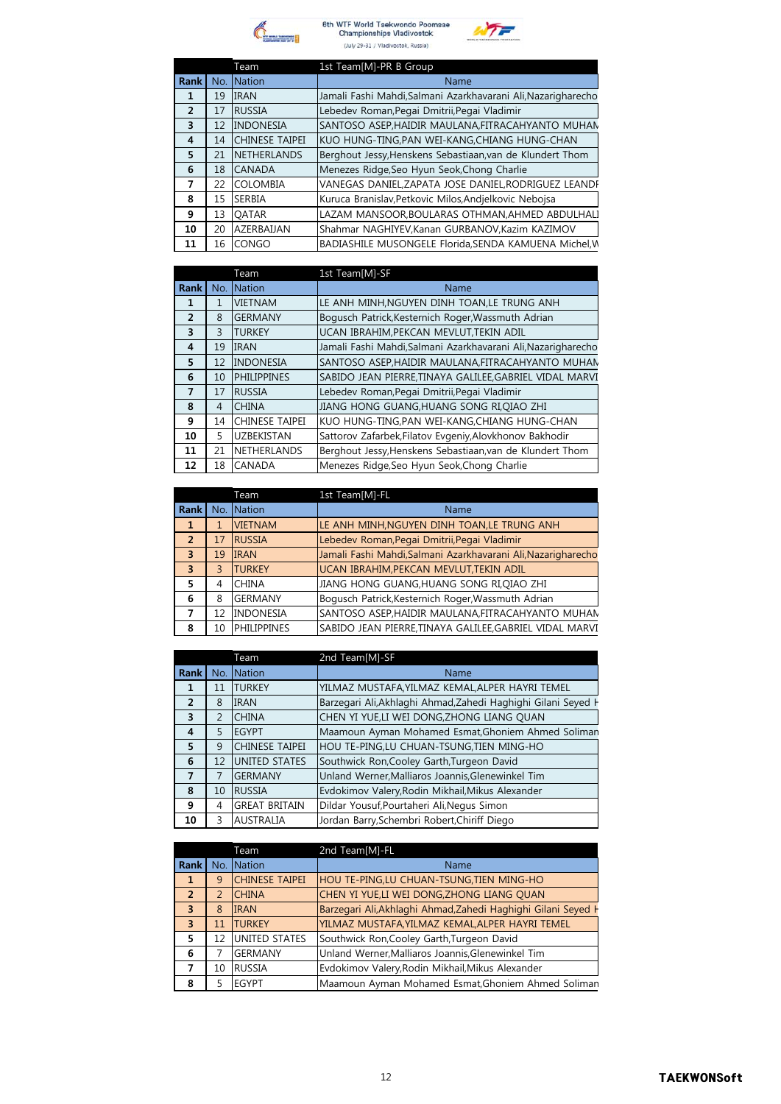

6th WTF World Taekwondo Poomsae<br>Championships Vladivostok (July 29-31 / Vladivostok, Russia)



|      |    | Team                  | 1st Team[M]-PR B Group                                        |
|------|----|-----------------------|---------------------------------------------------------------|
| Rank |    | No. Nation            | Name                                                          |
| 1    | 19 | <b>IRAN</b>           | Jamali Fashi Mahdi, Salmani Azarkhavarani Ali, Nazarigharecho |
| 2    | 17 | <b>RUSSIA</b>         | Lebedev Roman, Pegai Dmitrii, Pegai Vladimir                  |
| 3    | 12 | <b>INDONESIA</b>      | SANTOSO ASEP, HAIDIR MAULANA, FITRACAHYANTO MUHAN             |
| 4    | 14 | <b>CHINESE TAIPEI</b> | KUO HUNG-TING, PAN WEI-KANG, CHIANG HUNG-CHAN                 |
| 5    | 21 | <b>NETHERLANDS</b>    | Berghout Jessy, Henskens Sebastiaan, van de Klundert Thom     |
| 6    | 18 | <b>CANADA</b>         | Menezes Ridge, Seo Hyun Seok, Chong Charlie                   |
| 7    | 22 | <b>COLOMBIA</b>       | VANEGAS DANIEL, ZAPATA JOSE DANIEL, RODRIGUEZ LEANDF          |
| 8    | 15 | <b>SERBIA</b>         | Kuruca Branislav, Petkovic Milos, Andjelkovic Nebojsa         |
| 9    | 13 | <b>OATAR</b>          | LAZAM MANSOOR, BOULARAS OTHMAN, AHMED ABDULHALI               |
| 10   | 20 | AZERBAIJAN            | Shahmar NAGHIYEV, Kanan GURBANOV, Kazim KAZIMOV               |
| 11   | 16 | <b>CONGO</b>          | BADIASHILE MUSONGELE Florida, SENDA KAMUENA Michel, W         |

|                |                | Team                  | 1st Team[M]-SF                                                |
|----------------|----------------|-----------------------|---------------------------------------------------------------|
| <b>Rank</b>    | No.            | Nation                | Name                                                          |
| 1              | 1              | <b>VIETNAM</b>        | LE ANH MINH, NGUYEN DINH TOAN, LE TRUNG ANH                   |
| $\overline{2}$ | 8              | <b>GERMANY</b>        | Bogusch Patrick, Kesternich Roger, Wassmuth Adrian            |
| 3              | 3              | <b>TURKEY</b>         | UCAN IBRAHIM, PEKCAN MEVLUT, TEKIN ADIL                       |
| 4              | 19             | <b>IRAN</b>           | Jamali Fashi Mahdi, Salmani Azarkhavarani Ali, Nazarigharecho |
| 5              | 12             | <b>INDONESIA</b>      | SANTOSO ASEP, HAIDIR MAULANA, FITRACAHYANTO MUHAN             |
| 6              | 10             | <b>PHILIPPINES</b>    | SABIDO JEAN PIERRE, TINAYA GALILEE, GABRIEL VIDAL MARVI       |
| 7              | 17             | <b>RUSSIA</b>         | Lebedev Roman, Pegai Dmitrii, Pegai Vladimir                  |
| 8              | $\overline{4}$ | <b>CHINA</b>          | JIANG HONG GUANG,HUANG SONG RI,QIAO ZHI                       |
| 9              | 14             | <b>CHINESE TAIPEI</b> | KUO HUNG-TING, PAN WEI-KANG, CHIANG HUNG-CHAN                 |
| 10             | 5              | <b>UZBEKISTAN</b>     | Sattorov Zafarbek, Filatov Evgeniy, Alovkhonov Bakhodir       |
| 11             | 21             | <b>NETHERLANDS</b>    | Berghout Jessy, Henskens Sebastiaan, van de Klundert Thom     |
| 12             | 18             | <b>CANADA</b>         | Menezes Ridge, Seo Hyun Seok, Chong Charlie                   |

|                |                         | Team               | 1st Team[M]-FL                                                |
|----------------|-------------------------|--------------------|---------------------------------------------------------------|
| <b>Rank</b>    | No.                     | <b>Nation</b>      | Name                                                          |
| $\mathbf{1}$   | 1                       | <b>VIETNAM</b>     | LE ANH MINH, NGUYEN DINH TOAN, LE TRUNG ANH                   |
| $\overline{2}$ | 17                      | <b>RUSSIA</b>      | Lebedev Roman, Pegai Dmitrii, Pegai Vladimir                  |
| $\overline{3}$ | 19                      | <b>IRAN</b>        | Jamali Fashi Mahdi, Salmani Azarkhavarani Ali, Nazarigharecho |
| $\overline{3}$ | $\overline{\mathsf{B}}$ | <b>TURKEY</b>      | UCAN IBRAHIM, PEKCAN MEVLUT, TEKIN ADIL                       |
| 5              | 4                       | <b>CHINA</b>       | JIANG HONG GUANG, HUANG SONG RI, QIAO ZHI                     |
| 6              | 8                       | <b>GERMANY</b>     | Bogusch Patrick, Kesternich Roger, Wassmuth Adrian            |
| 7              | 12                      | <b>INDONESIA</b>   | SANTOSO ASEP, HAIDIR MAULANA, FITRACAHYANTO MUHAN             |
| 8              | 10                      | <b>PHILIPPINES</b> | SABIDO JEAN PIERRE, TINAYA GALILEE, GABRIEL VIDAL MARVI       |

|                |               | Team                  | 2nd Team[M]-SF                                                |
|----------------|---------------|-----------------------|---------------------------------------------------------------|
| <b>Rank</b>    |               | No. Nation            | Name                                                          |
| 1              | 11            | <b>TURKEY</b>         | YILMAZ MUSTAFA, YILMAZ KEMAL, ALPER HAYRI TEMEL               |
| $\overline{2}$ | 8             | <b>IRAN</b>           | Barzegari Ali, Akhlaghi Ahmad, Zahedi Haghighi Gilani Seyed H |
| 3              | $\mathcal{P}$ | <b>CHINA</b>          | CHEN YI YUE,LI WEI DONG, ZHONG LIANG OUAN                     |
| $\overline{4}$ | 5             | <b>EGYPT</b>          | Maamoun Ayman Mohamed Esmat, Ghoniem Ahmed Soliman            |
| 5              | 9             | <b>CHINESE TAIPEI</b> | HOU TE-PING,LU CHUAN-TSUNG,TIEN MING-HO                       |
| 6              | 12            | UNITED STATES         | Southwick Ron, Cooley Garth, Turgeon David                    |
| $\overline{7}$ | 7             | <b>GERMANY</b>        | Unland Werner, Malliaros Joannis, Glenewinkel Tim             |
| 8              | 10            | <b>RUSSIA</b>         | Evdokimov Valery, Rodin Mikhail, Mikus Alexander              |
| 9              | 4             | <b>GREAT BRITAIN</b>  | Dildar Yousuf, Pourtaheri Ali, Negus Simon                    |
| 10             | ς             | <b>AUSTRALIA</b>      | Jordan Barry, Schembri Robert, Chiriff Diego                  |

|                         |    | Team                  | 2nd Team[M]-FL                                                |
|-------------------------|----|-----------------------|---------------------------------------------------------------|
| Rank I                  |    | No. Nation            | Name                                                          |
| 1                       | 9  | <b>CHINESE TAIPEI</b> | <b>HOU TE-PING, LU CHUAN-TSUNG, TIEN MING-HO</b>              |
| $\overline{2}$          | C  | <b>CHINA</b>          | CHEN YI YUE,LI WEI DONG, ZHONG LIANG QUAN                     |
| $\overline{3}$          | 8  | <b>IRAN</b>           | Barzegari Ali, Akhlaghi Ahmad, Zahedi Haghighi Gilani Seyed H |
| $\overline{\mathbf{3}}$ | 11 | <b>TURKEY</b>         | YILMAZ MUSTAFA, YILMAZ KEMAL, ALPER HAYRI TEMEL               |
| 5                       | 12 | <b>UNITED STATES</b>  | Southwick Ron, Cooley Garth, Turgeon David                    |
| 6                       |    | <b>GERMANY</b>        | Unland Werner, Malliaros Joannis, Glenewinkel Tim             |
|                         | 10 | <b>RUSSIA</b>         | Evdokimov Valery, Rodin Mikhail, Mikus Alexander              |
| 8                       |    | <b>EGYPT</b>          | Maamoun Ayman Mohamed Esmat, Ghoniem Ahmed Soliman            |